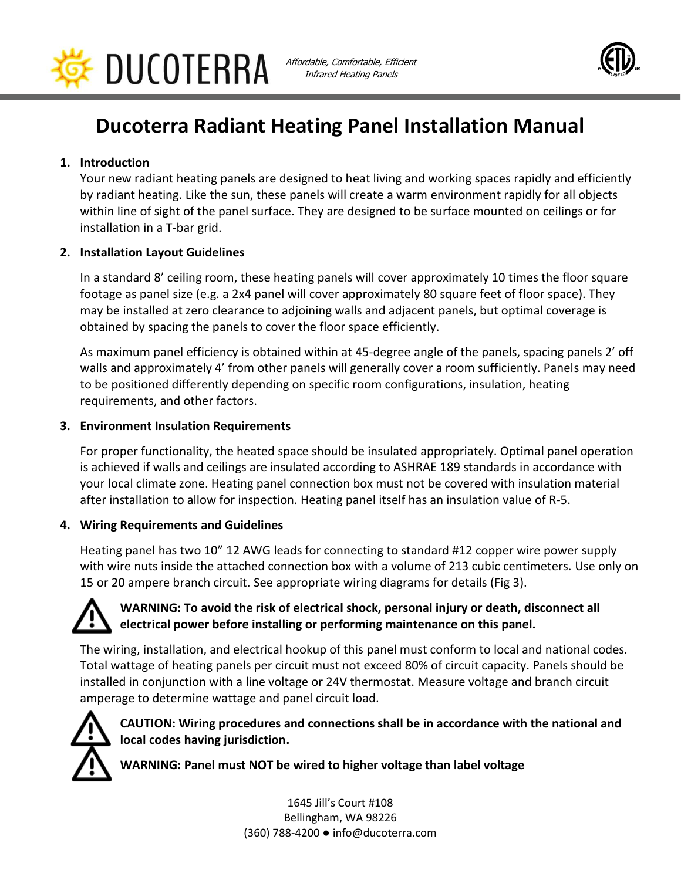



### **Ducoterra Radiant Heating Panel Installation Manual**

### **1. Introduction**

Your new radiant heating panels are designed to heat living and working spaces rapidly and efficiently by radiant heating. Like the sun, these panels will create a warm environment rapidly for all objects within line of sight of the panel surface. They are designed to be surface mounted on ceilings or for installation in a T-bar grid.

#### **2. Installation Layout Guidelines**

In a standard 8' ceiling room, these heating panels will cover approximately 10 times the floor square footage as panel size (e.g. a 2x4 panel will cover approximately 80 square feet of floor space). They may be installed at zero clearance to adjoining walls and adjacent panels, but optimal coverage is obtained by spacing the panels to cover the floor space efficiently.

As maximum panel efficiency is obtained within at 45-degree angle of the panels, spacing panels 2' off walls and approximately 4' from other panels will generally cover a room sufficiently. Panels may need to be positioned differently depending on specific room configurations, insulation, heating requirements, and other factors.

#### **3. Environment Insulation Requirements**

For proper functionality, the heated space should be insulated appropriately. Optimal panel operation is achieved if walls and ceilings are insulated according to ASHRAE 189 standards in accordance with your local climate zone. Heating panel connection box must not be covered with insulation material after installation to allow for inspection. Heating panel itself has an insulation value of R-5.

#### **4. Wiring Requirements and Guidelines**

Heating panel has two 10" 12 AWG leads for connecting to standard #12 copper wire power supply with wire nuts inside the attached connection box with a volume of 213 cubic centimeters. Use only on 15 or 20 ampere branch circuit. See appropriate wiring diagrams for details (Fig 3).



### **WARNING: To avoid the risk of electrical shock, personal injury or death, disconnect all electrical power before installing or performing maintenance on this panel.**

The wiring, installation, and electrical hookup of this panel must conform to local and national codes. Total wattage of heating panels per circuit must not exceed 80% of circuit capacity. Panels should be installed in conjunction with a line voltage or 24V thermostat. Measure voltage and branch circuit amperage to determine wattage and panel circuit load.



#### **CAUTION: Wiring procedures and connections shall be in accordance with the national and local codes having jurisdiction.**

**WARNING: Panel must NOT be wired to higher voltage than label voltage**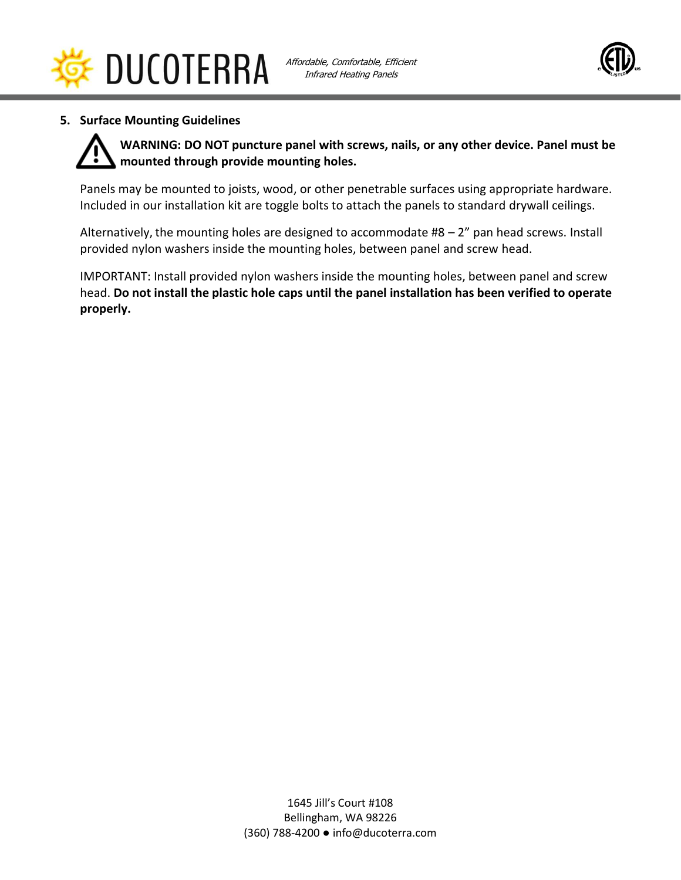



#### **5. Surface Mounting Guidelines**

**WARNING: DO NOT puncture panel with screws, nails, or any other device. Panel must be mounted through provide mounting holes.**

Panels may be mounted to joists, wood, or other penetrable surfaces using appropriate hardware. Included in our installation kit are toggle bolts to attach the panels to standard drywall ceilings.

Alternatively, the mounting holes are designed to accommodate  $#8 - 2"$  pan head screws. Install provided nylon washers inside the mounting holes, between panel and screw head.

IMPORTANT: Install provided nylon washers inside the mounting holes, between panel and screw head. **Do not install the plastic hole caps until the panel installation has been verified to operate properly.**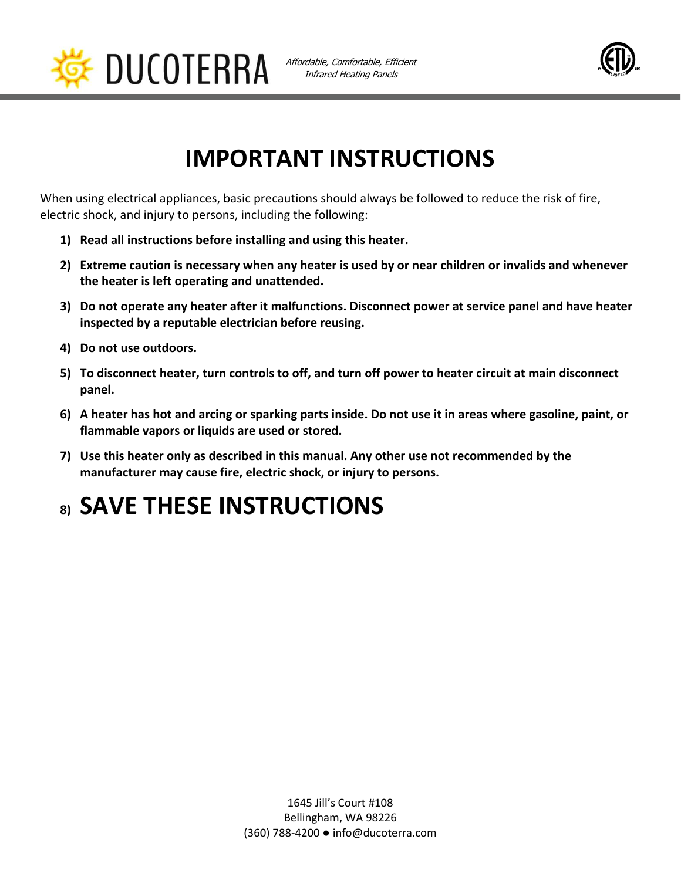



## **IMPORTANT INSTRUCTIONS**

When using electrical appliances, basic precautions should always be followed to reduce the risk of fire, electric shock, and injury to persons, including the following:

- **1) Read all instructions before installing and using this heater.**
- **2) Extreme caution is necessary when any heater is used by or near children or invalids and whenever the heater is left operating and unattended.**
- **3) Do not operate any heater after it malfunctions. Disconnect power at service panel and have heater inspected by a reputable electrician before reusing.**
- **4) Do not use outdoors.**
- **5) To disconnect heater, turn controls to off, and turn off power to heater circuit at main disconnect panel.**
- **6) A heater has hot and arcing or sparking parts inside. Do not use it in areas where gasoline, paint, or flammable vapors or liquids are used or stored.**
- **7) Use this heater only as described in this manual. Any other use not recommended by the manufacturer may cause fire, electric shock, or injury to persons.**

### **8) SAVE THESE INSTRUCTIONS**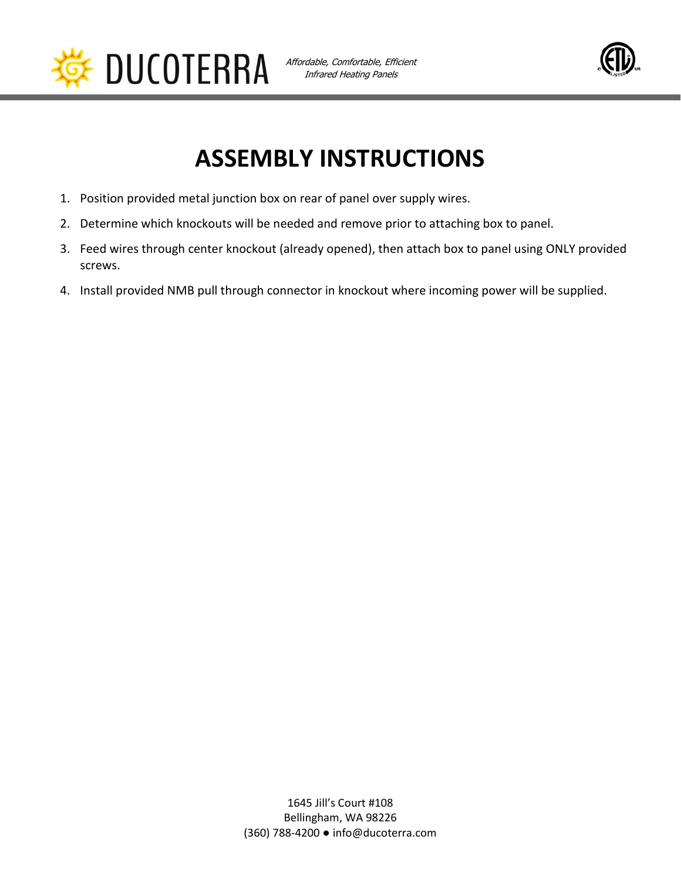



## **ASSEMBLY INSTRUCTIONS**

- 1. Position provided metal junction box on rear of panel over supply wires.
- 2. Determine which knockouts will be needed and remove prior to attaching box to panel.
- 3. Feed wires through center knockout (already opened), then attach box to panel using ONLY provided screws.
- 4. Install provided NMB pull through connector in knockout where incoming power will be supplied.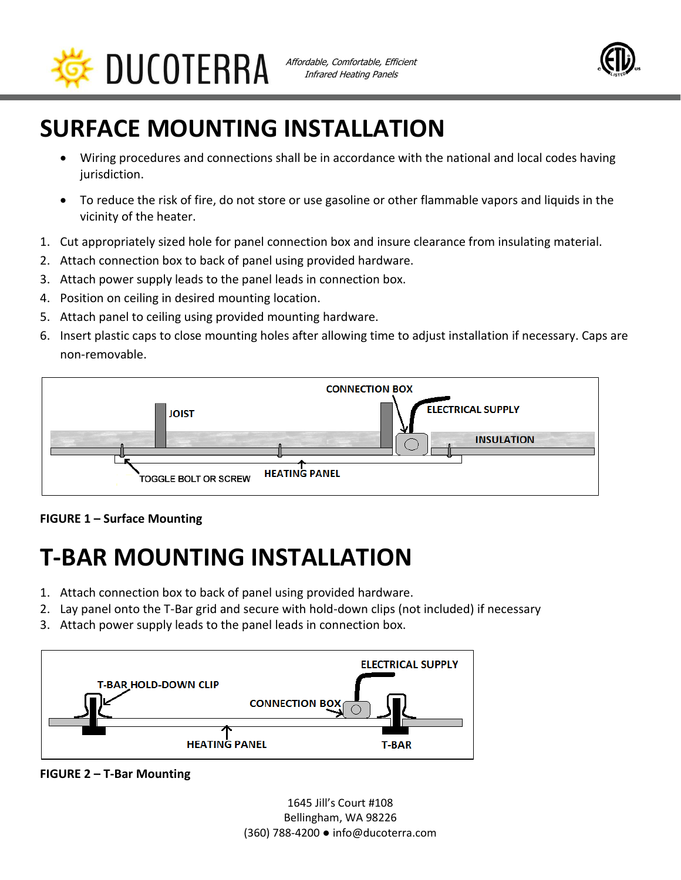



# **SURFACE MOUNTING INSTALLATION**

- Wiring procedures and connections shall be in accordance with the national and local codes having jurisdiction.
- To reduce the risk of fire, do not store or use gasoline or other flammable vapors and liquids in the vicinity of the heater.
- 1. Cut appropriately sized hole for panel connection box and insure clearance from insulating material.
- 2. Attach connection box to back of panel using provided hardware.
- 3. Attach power supply leads to the panel leads in connection box.
- 4. Position on ceiling in desired mounting location.
- 5. Attach panel to ceiling using provided mounting hardware.
- 6. Insert plastic caps to close mounting holes after allowing time to adjust installation if necessary. Caps are non-removable.



**FIGURE 1 – Surface Mounting**

# **T-BAR MOUNTING INSTALLATION**

- 1. Attach connection box to back of panel using provided hardware.
- 2. Lay panel onto the T-Bar grid and secure with hold-down clips (not included) if necessary
- 3. Attach power supply leads to the panel leads in connection box.



#### **FIGURE 2 – T-Bar Mounting**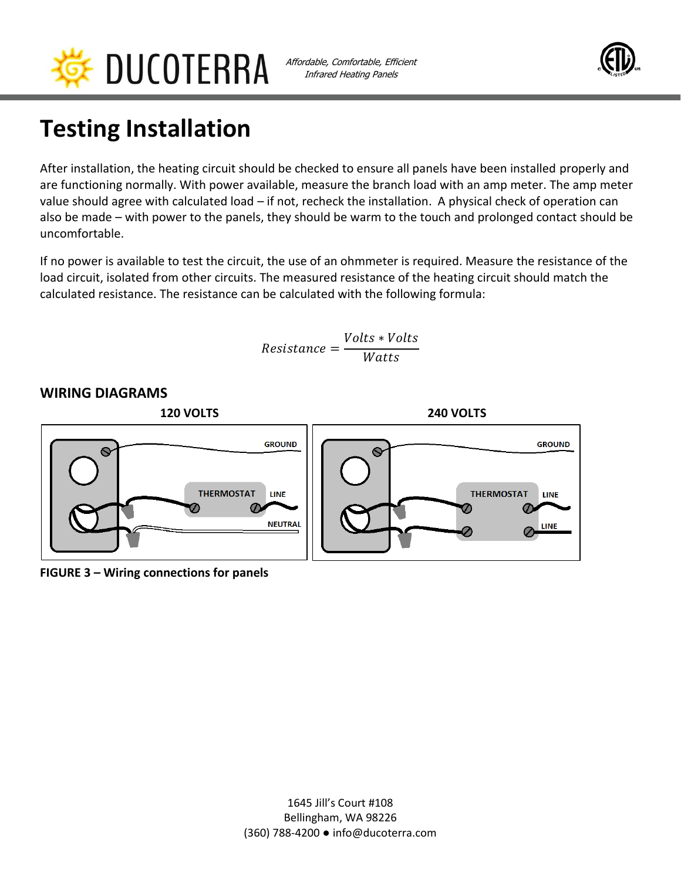



## **Testing Installation**

After installation, the heating circuit should be checked to ensure all panels have been installed properly and are functioning normally. With power available, measure the branch load with an amp meter. The amp meter value should agree with calculated load – if not, recheck the installation. A physical check of operation can also be made – with power to the panels, they should be warm to the touch and prolonged contact should be uncomfortable.

If no power is available to test the circuit, the use of an ohmmeter is required. Measure the resistance of the load circuit, isolated from other circuits. The measured resistance of the heating circuit should match the calculated resistance. The resistance can be calculated with the following formula:

$$
Resistance = \frac{Volts * Volts}{Watts}
$$



### **WIRING DIAGRAMS**

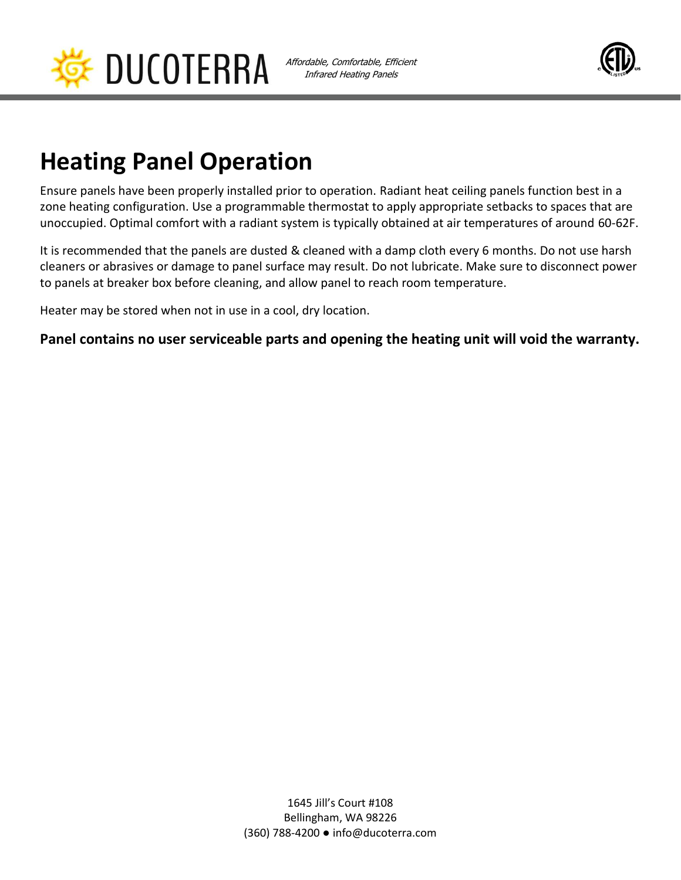



## **Heating Panel Operation**

Ensure panels have been properly installed prior to operation. Radiant heat ceiling panels function best in a zone heating configuration. Use a programmable thermostat to apply appropriate setbacks to spaces that are unoccupied. Optimal comfort with a radiant system is typically obtained at air temperatures of around 60-62F.

It is recommended that the panels are dusted & cleaned with a damp cloth every 6 months. Do not use harsh cleaners or abrasives or damage to panel surface may result. Do not lubricate. Make sure to disconnect power to panels at breaker box before cleaning, and allow panel to reach room temperature.

Heater may be stored when not in use in a cool, dry location.

**Panel contains no user serviceable parts and opening the heating unit will void the warranty.**